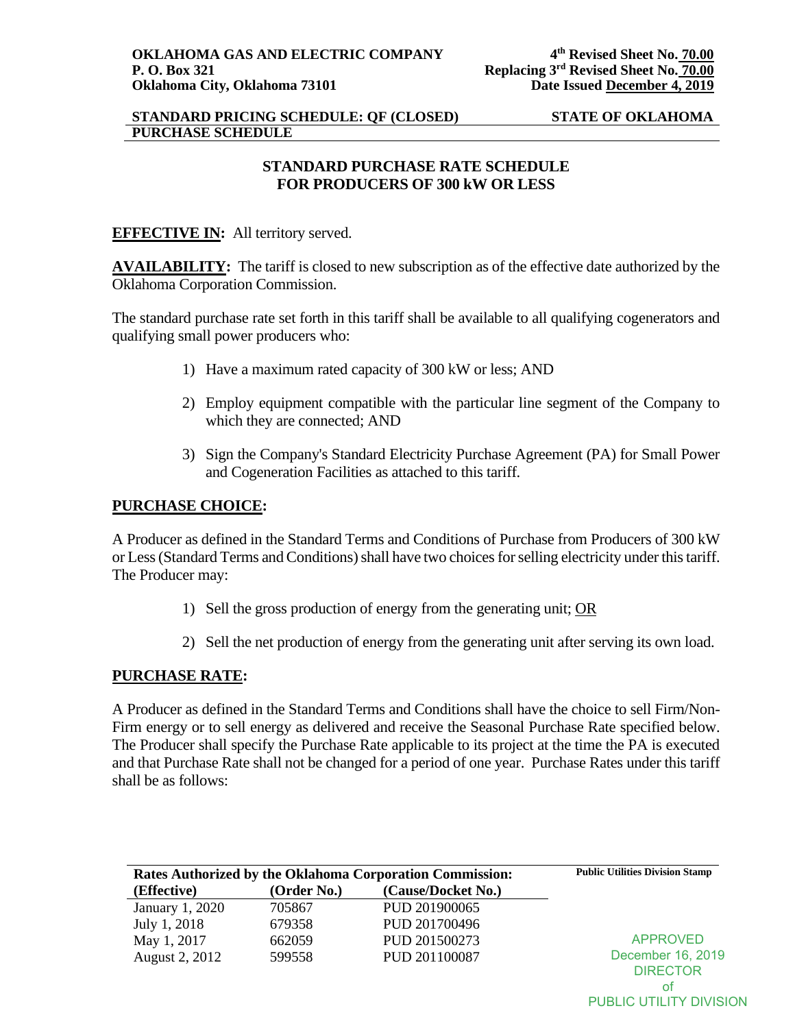## **STANDARD PRICING SCHEDULE: QF (CLOSED) STATE OF OKLAHOMA PURCHASE SCHEDULE**

# **STANDARD PURCHASE RATE SCHEDULE FOR PRODUCERS OF 300 kW OR LESS**

# **EFFECTIVE IN:** All territory served.

**AVAILABILITY:** The tariff is closed to new subscription as of the effective date authorized by the Oklahoma Corporation Commission.

The standard purchase rate set forth in this tariff shall be available to all qualifying cogenerators and qualifying small power producers who:

- 1) Have a maximum rated capacity of 300 kW or less; AND
- 2) Employ equipment compatible with the particular line segment of the Company to which they are connected; AND
- 3) Sign the Company's Standard Electricity Purchase Agreement (PA) for Small Power and Cogeneration Facilities as attached to this tariff.

# **PURCHASE CHOICE:**

A Producer as defined in the Standard Terms and Conditions of Purchase from Producers of 300 kW or Less (Standard Terms and Conditions) shall have two choices for selling electricity under this tariff. The Producer may:

- 1) Sell the gross production of energy from the generating unit; OR
- 2) Sell the net production of energy from the generating unit after serving its own load.

### **PURCHASE RATE:**

A Producer as defined in the Standard Terms and Conditions shall have the choice to sell Firm/Non-Firm energy or to sell energy as delivered and receive the Seasonal Purchase Rate specified below. The Producer shall specify the Purchase Rate applicable to its project at the time the PA is executed and that Purchase Rate shall not be changed for a period of one year. Purchase Rates under this tariff shall be as follows:

| <b>Rates Authorized by the Oklahoma Corporation Commission:</b> | <b>Public Utilities Division Stamp</b> |                    |                   |
|-----------------------------------------------------------------|----------------------------------------|--------------------|-------------------|
| (Effective)                                                     | (Order No.)                            | (Cause/Docket No.) |                   |
| January 1, 2020                                                 | 705867                                 | PUD 201900065      |                   |
| July 1, 2018                                                    | 679358                                 | PUD 201700496      |                   |
| May 1, 2017                                                     | 662059                                 | PUD 201500273      | <b>APPROVED</b>   |
| August 2, 2012                                                  | 599558                                 | PUD 201100087      | December 16, 2019 |
|                                                                 |                                        |                    | <b>DIRECTOR</b>   |
|                                                                 |                                        |                    | οt                |

PUBLIC UTILITY DIVISION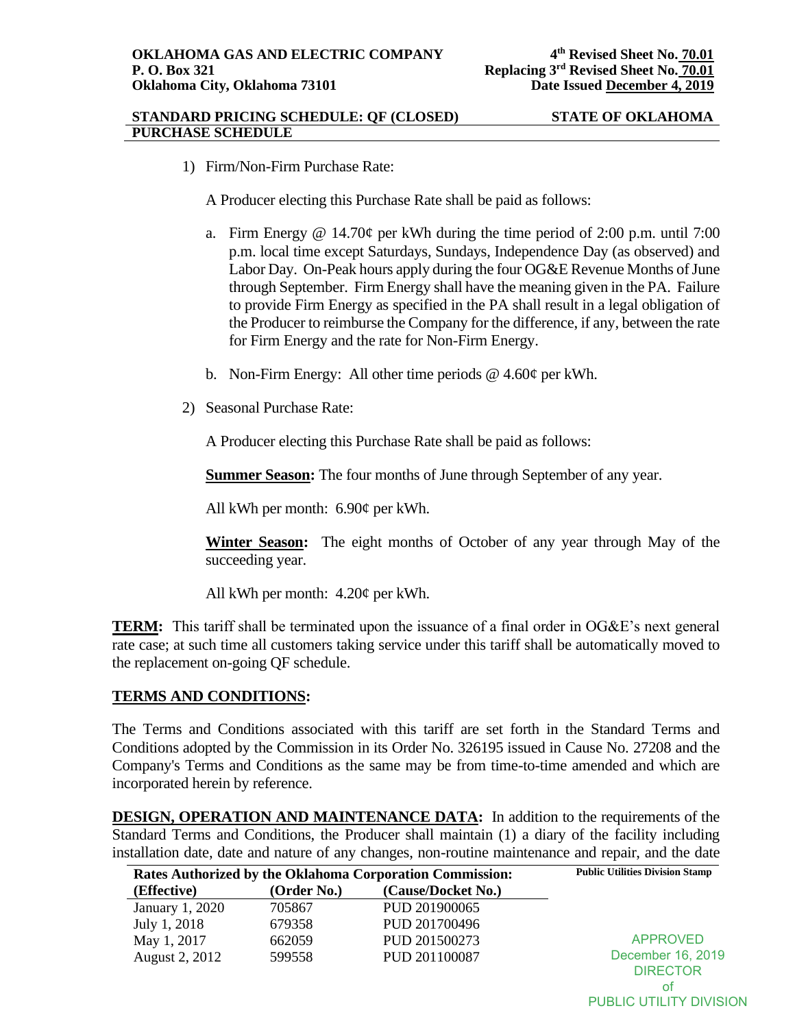#### **STANDARD PRICING SCHEDULE: QF (CLOSED) STATE OF OKLAHOMA PURCHASE SCHEDULE**

of PUBLIC UTILITY DIVISION

1) Firm/Non-Firm Purchase Rate:

A Producer electing this Purchase Rate shall be paid as follows:

- a. Firm Energy @ 14.70 $\varphi$  per kWh during the time period of 2:00 p.m. until 7:00 p.m. local time except Saturdays, Sundays, Independence Day (as observed) and Labor Day. On-Peak hours apply during the four OG&E Revenue Months of June through September. Firm Energy shall have the meaning given in the PA. Failure to provide Firm Energy as specified in the PA shall result in a legal obligation of the Producer to reimburse the Company for the difference, if any, between the rate for Firm Energy and the rate for Non-Firm Energy.
- b. Non-Firm Energy: All other time periods @ 4.60¢ per kWh.
- 2) Seasonal Purchase Rate:

A Producer electing this Purchase Rate shall be paid as follows:

**Summer Season:** The four months of June through September of any year.

All kWh per month: 6.90¢ per kWh.

**Winter Season:** The eight months of October of any year through May of the succeeding year.

All kWh per month: 4.20¢ per kWh.

**TERM:** This tariff shall be terminated upon the issuance of a final order in OG&E's next general rate case; at such time all customers taking service under this tariff shall be automatically moved to the replacement on-going QF schedule.

### **TERMS AND CONDITIONS:**

The Terms and Conditions associated with this tariff are set forth in the Standard Terms and Conditions adopted by the Commission in its Order No. 326195 issued in Cause No. 27208 and the Company's Terms and Conditions as the same may be from time-to-time amended and which are incorporated herein by reference.

**DESIGN, OPERATION AND MAINTENANCE DATA:** In addition to the requirements of the Standard Terms and Conditions, the Producer shall maintain (1) a diary of the facility including installation date, date and nature of any changes, non-routine maintenance and repair, and the date

| Rates Authorized by the Oklahoma Corporation Commission: | <b>Public Utilities Division Stamp</b> |                    |                                      |
|----------------------------------------------------------|----------------------------------------|--------------------|--------------------------------------|
| (Effective)                                              | (Order No.)                            | (Cause/Docket No.) |                                      |
| January 1, 2020                                          | 705867                                 | PUD 201900065      |                                      |
| July 1, 2018                                             | 679358                                 | PUD 201700496      |                                      |
| May 1, 2017                                              | 662059                                 | PUD 201500273      | <b>APPROVED</b>                      |
| August 2, 2012                                           | 599558                                 | PUD 201100087      | December 16, 2019<br><b>DIRECTOR</b> |